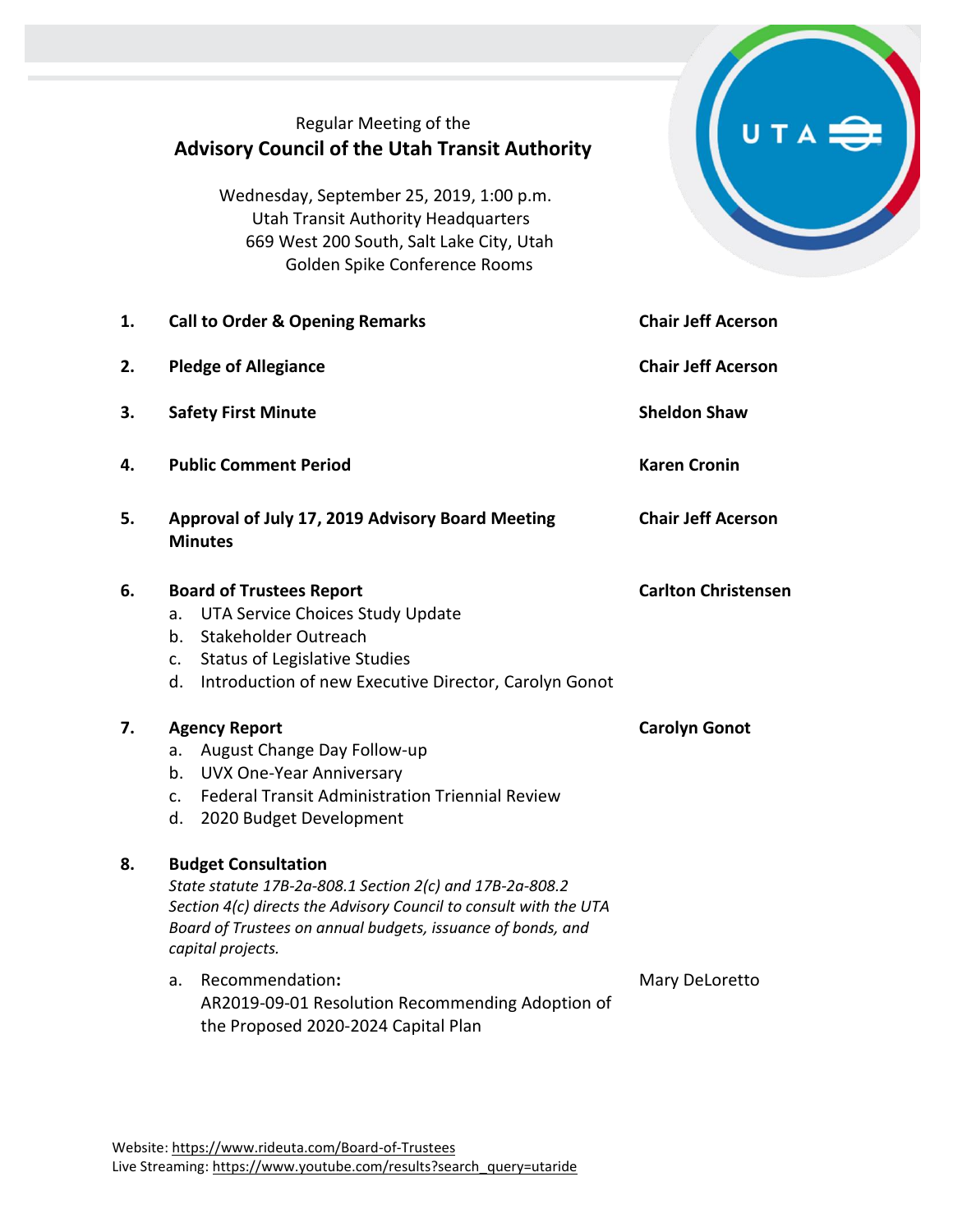## Regular Meeting of the **Advisory Council of the Utah Transit Authority**

Wednesday, September 25, 2019, 1:00 p.m. Utah Transit Authority Headquarters 669 West 200 South, Salt Lake City, Utah Golden Spike Conference Rooms

| 1. | <b>Call to Order &amp; Opening Remarks</b>                                                                                                                                                                                                      | <b>Chair Jeff Acerson</b>  |
|----|-------------------------------------------------------------------------------------------------------------------------------------------------------------------------------------------------------------------------------------------------|----------------------------|
| 2. | <b>Pledge of Allegiance</b>                                                                                                                                                                                                                     | <b>Chair Jeff Acerson</b>  |
| 3. | <b>Safety First Minute</b>                                                                                                                                                                                                                      | <b>Sheldon Shaw</b>        |
| 4. | <b>Public Comment Period</b>                                                                                                                                                                                                                    | <b>Karen Cronin</b>        |
| 5. | Approval of July 17, 2019 Advisory Board Meeting<br><b>Minutes</b>                                                                                                                                                                              | <b>Chair Jeff Acerson</b>  |
| 6. | <b>Board of Trustees Report</b><br>UTA Service Choices Study Update<br>а.<br>Stakeholder Outreach<br>b.<br><b>Status of Legislative Studies</b><br>c.<br>Introduction of new Executive Director, Carolyn Gonot<br>d.                            | <b>Carlton Christensen</b> |
| 7. | <b>Agency Report</b><br>August Change Day Follow-up<br>а.<br><b>UVX One-Year Anniversary</b><br>b.<br><b>Federal Transit Administration Triennial Review</b><br>$\mathsf{C}$ .<br>d. 2020 Budget Development                                    | <b>Carolyn Gonot</b>       |
| 8. | <b>Budget Consultation</b><br>State statute 17B-2a-808.1 Section 2(c) and 17B-2a-808.2<br>Section 4(c) directs the Advisory Council to consult with the UTA<br>Board of Trustees on annual budgets, issuance of bonds, and<br>capital projects. |                            |
|    | Recommendation:<br>a.<br>AR2019-09-01 Resolution Recommending Adoption of<br>the Proposed 2020-2024 Capital Plan                                                                                                                                | Mary DeLoretto             |

UTA<sup>S</sup>